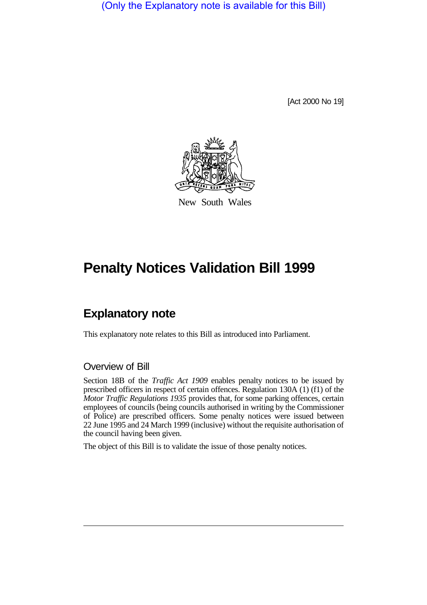(Only the Explanatory note is available for this Bill)

[Act 2000 No 19]



New South Wales

## **Penalty Notices Validation Bill 1999**

## **Explanatory note**

This explanatory note relates to this Bill as introduced into Parliament.

## Overview of Bill

Section 18B of the *Traffic Act 1909* enables penalty notices to be issued by prescribed officers in respect of certain offences. Regulation 130A (1) (f1) of the *Motor Traffic Regulations 1935* provides that, for some parking offences, certain employees of councils (being councils authorised in writing by the Commissioner of Police) are prescribed officers. Some penalty notices were issued between 22 June 1995 and 24 March 1999 (inclusive) without the requisite authorisation of the council having been given.

The object of this Bill is to validate the issue of those penalty notices.